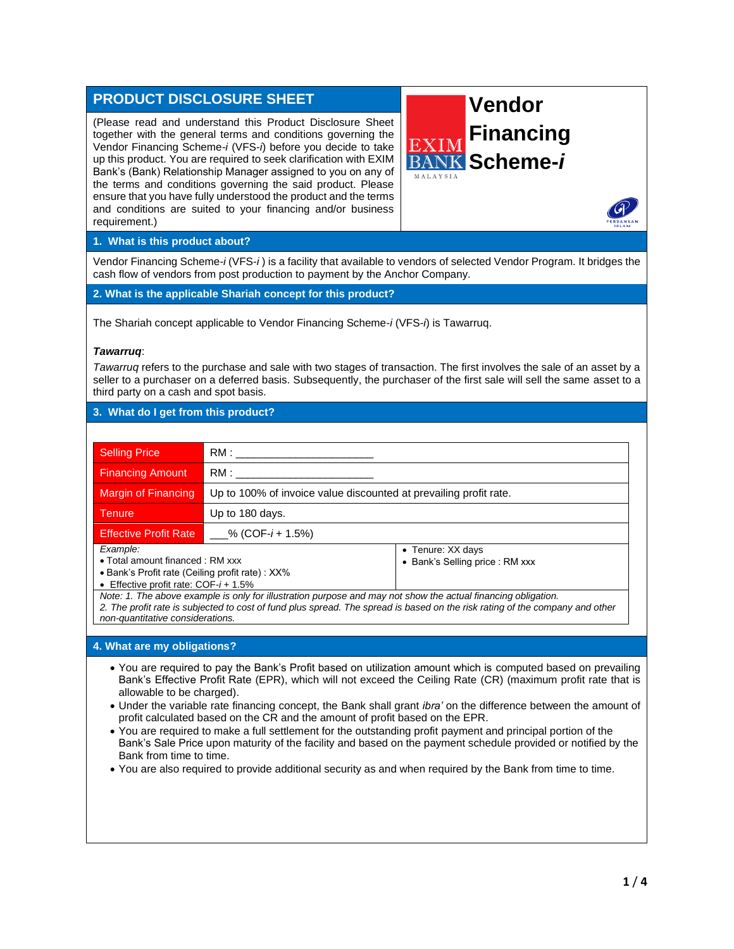# **PRODUCT DISCLOSURE SHEET**

(Please read and understand this Product Disclosure Sheet together with the general terms and conditions governing the Vendor Financing Scheme-*i* (VFS-*i*) before you decide to take up this product. You are required to seek clarification with EXIM Bank's (Bank) Relationship Manager assigned to you on any of the terms and conditions governing the said product. Please ensure that you have fully understood the product and the terms and conditions are suited to your financing and/or business requirement.)



#### **1. What is this product about?**

Vendor Financing Scheme-*i* (VFS-*i* ) is a facility that available to vendors of selected Vendor Program. It bridges the cash flow of vendors from post production to payment by the Anchor Company.

**2. What is the applicable Shariah concept for this product?**

The Shariah concept applicable to Vendor Financing Scheme-*i* (VFS-*i*) is Tawarruq.

#### *Tawarruq*:

*Tawarruq* refers to the purchase and sale with two stages of transaction. The first involves the sale of an asset by a seller to a purchaser on a deferred basis. Subsequently, the purchaser of the first sale will sell the same asset to a third party on a cash and spot basis.

## **3. What do I get from this product?**

| <b>Selling Price</b>                                                                                                                                                                                                                          | RM:                                                               |                                                      |  |
|-----------------------------------------------------------------------------------------------------------------------------------------------------------------------------------------------------------------------------------------------|-------------------------------------------------------------------|------------------------------------------------------|--|
| <b>Financing Amount</b>                                                                                                                                                                                                                       | RM : ____                                                         |                                                      |  |
| Margin of Financing                                                                                                                                                                                                                           | Up to 100% of invoice value discounted at prevailing profit rate. |                                                      |  |
| <b>Tenure</b>                                                                                                                                                                                                                                 | Up to 180 days.                                                   |                                                      |  |
| <b>Effective Profit Rate</b>                                                                                                                                                                                                                  | ___% (COF- $i$ + 1.5%)                                            |                                                      |  |
| Example:<br>• Total amount financed: RM xxx<br>• Bank's Profit rate (Ceiling profit rate): XX%<br>• Effective profit rate: $COF-i + 1.5%$                                                                                                     |                                                                   | • Tenure: XX days<br>• Bank's Selling price : RM xxx |  |
| Note: 1. The above example is only for illustration purpose and may not show the actual financing obligation.<br>2. The profit rate is subjected to cost of fund plus spread. The spread is based on the risk rating of the company and other |                                                                   |                                                      |  |

*non-quantitative considerations.*

#### **4. What are my obligations?**

- You are required to pay the Bank's Profit based on utilization amount which is computed based on prevailing Bank's Effective Profit Rate (EPR), which will not exceed the Ceiling Rate (CR) (maximum profit rate that is allowable to be charged).
- Under the variable rate financing concept, the Bank shall grant *ibra'* on the difference between the amount of profit calculated based on the CR and the amount of profit based on the EPR.
- You are required to make a full settlement for the outstanding profit payment and principal portion of the Bank's Sale Price upon maturity of the facility and based on the payment schedule provided or notified by the Bank from time to time.
- You are also required to provide additional security as and when required by the Bank from time to time.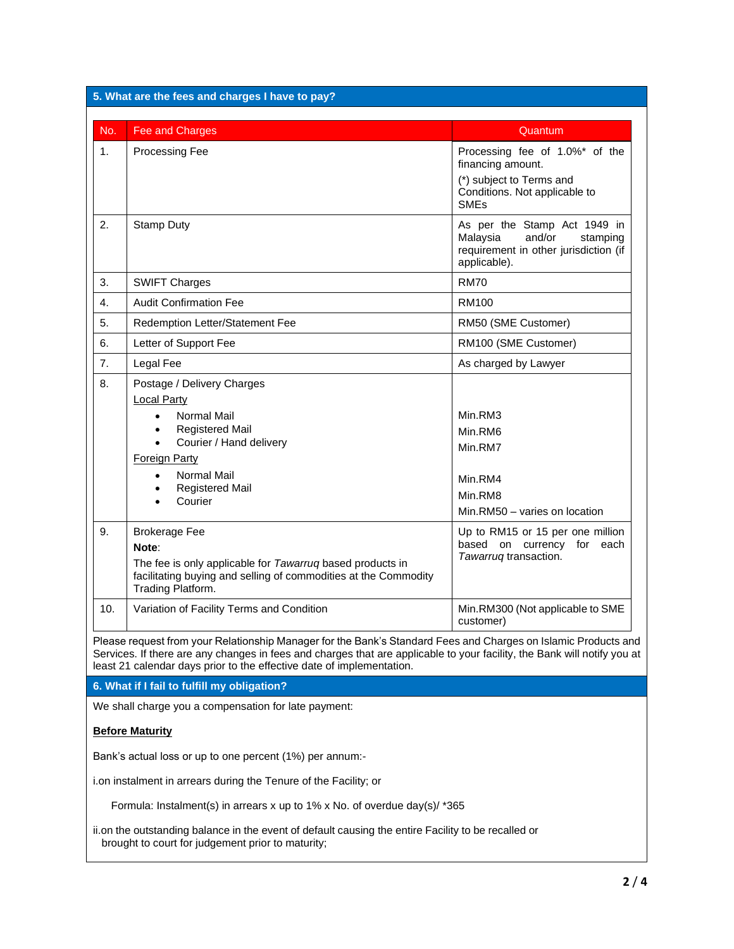| 5. What are the fees and charges I have to pay?                                                                                                                                                                                                                                                                     |                                                                                                                                                                                                                                                                                          |                                                                                                                                            |  |  |
|---------------------------------------------------------------------------------------------------------------------------------------------------------------------------------------------------------------------------------------------------------------------------------------------------------------------|------------------------------------------------------------------------------------------------------------------------------------------------------------------------------------------------------------------------------------------------------------------------------------------|--------------------------------------------------------------------------------------------------------------------------------------------|--|--|
| No.                                                                                                                                                                                                                                                                                                                 | Fee and Charges                                                                                                                                                                                                                                                                          | Quantum                                                                                                                                    |  |  |
| 1.                                                                                                                                                                                                                                                                                                                  | <b>Processing Fee</b>                                                                                                                                                                                                                                                                    | Processing fee of 1.0%* of the<br>financing amount.<br>(*) subject to Terms and<br>Conditions. Not applicable to<br><b>SME<sub>s</sub></b> |  |  |
| 2.                                                                                                                                                                                                                                                                                                                  | <b>Stamp Duty</b>                                                                                                                                                                                                                                                                        | As per the Stamp Act 1949 in<br>Malaysia<br>and/or<br>stamping<br>requirement in other jurisdiction (if<br>applicable).                    |  |  |
| 3.                                                                                                                                                                                                                                                                                                                  | <b>SWIFT Charges</b>                                                                                                                                                                                                                                                                     | <b>RM70</b>                                                                                                                                |  |  |
| 4.                                                                                                                                                                                                                                                                                                                  | <b>Audit Confirmation Fee</b>                                                                                                                                                                                                                                                            | <b>RM100</b>                                                                                                                               |  |  |
| 5.                                                                                                                                                                                                                                                                                                                  | Redemption Letter/Statement Fee                                                                                                                                                                                                                                                          | RM50 (SME Customer)                                                                                                                        |  |  |
| 6.                                                                                                                                                                                                                                                                                                                  | Letter of Support Fee                                                                                                                                                                                                                                                                    | RM100 (SME Customer)                                                                                                                       |  |  |
| 7.                                                                                                                                                                                                                                                                                                                  | Legal Fee                                                                                                                                                                                                                                                                                | As charged by Lawyer                                                                                                                       |  |  |
| 8.<br>9.                                                                                                                                                                                                                                                                                                            | Postage / Delivery Charges<br><b>Local Party</b><br>Normal Mail<br>$\bullet$<br><b>Registered Mail</b><br>$\bullet$<br>Courier / Hand delivery<br>$\bullet$<br><b>Foreign Party</b><br><b>Normal Mail</b><br>$\bullet$<br><b>Registered Mail</b><br>٠<br>Courier<br><b>Brokerage Fee</b> | Min.RM3<br>Min.RM6<br>Min.RM7<br>Min.RM4<br>Min.RM8<br>Min.RM50 - varies on location<br>Up to RM15 or 15 per one million                   |  |  |
|                                                                                                                                                                                                                                                                                                                     | Note:<br>The fee is only applicable for Tawarruq based products in<br>facilitating buying and selling of commodities at the Commodity<br>Trading Platform.                                                                                                                               | based on currency for each<br>Tawarruq transaction.                                                                                        |  |  |
| 10.                                                                                                                                                                                                                                                                                                                 | Variation of Facility Terms and Condition                                                                                                                                                                                                                                                | Min.RM300 (Not applicable to SME<br>customer)                                                                                              |  |  |
| Please request from your Relationship Manager for the Bank's Standard Fees and Charges on Islamic Products and<br>Services. If there are any changes in fees and charges that are applicable to your facility, the Bank will notify you at<br>least 21 calendar days prior to the effective date of implementation. |                                                                                                                                                                                                                                                                                          |                                                                                                                                            |  |  |
|                                                                                                                                                                                                                                                                                                                     | 6. What if I fail to fulfill my obligation?                                                                                                                                                                                                                                              |                                                                                                                                            |  |  |
| We shall charge you a compensation for late payment:                                                                                                                                                                                                                                                                |                                                                                                                                                                                                                                                                                          |                                                                                                                                            |  |  |
|                                                                                                                                                                                                                                                                                                                     | <b>Before Maturity</b>                                                                                                                                                                                                                                                                   |                                                                                                                                            |  |  |
| Bank's actual loss or up to one percent (1%) per annum:-                                                                                                                                                                                                                                                            |                                                                                                                                                                                                                                                                                          |                                                                                                                                            |  |  |
| i.on instalment in arrears during the Tenure of the Facility; or                                                                                                                                                                                                                                                    |                                                                                                                                                                                                                                                                                          |                                                                                                                                            |  |  |
| Formula: Instalment(s) in arrears x up to 1% x No. of overdue day(s)/ *365                                                                                                                                                                                                                                          |                                                                                                                                                                                                                                                                                          |                                                                                                                                            |  |  |
| ii.on the outstanding balance in the event of default causing the entire Facility to be recalled or<br>brought to court for judgement prior to maturity;                                                                                                                                                            |                                                                                                                                                                                                                                                                                          |                                                                                                                                            |  |  |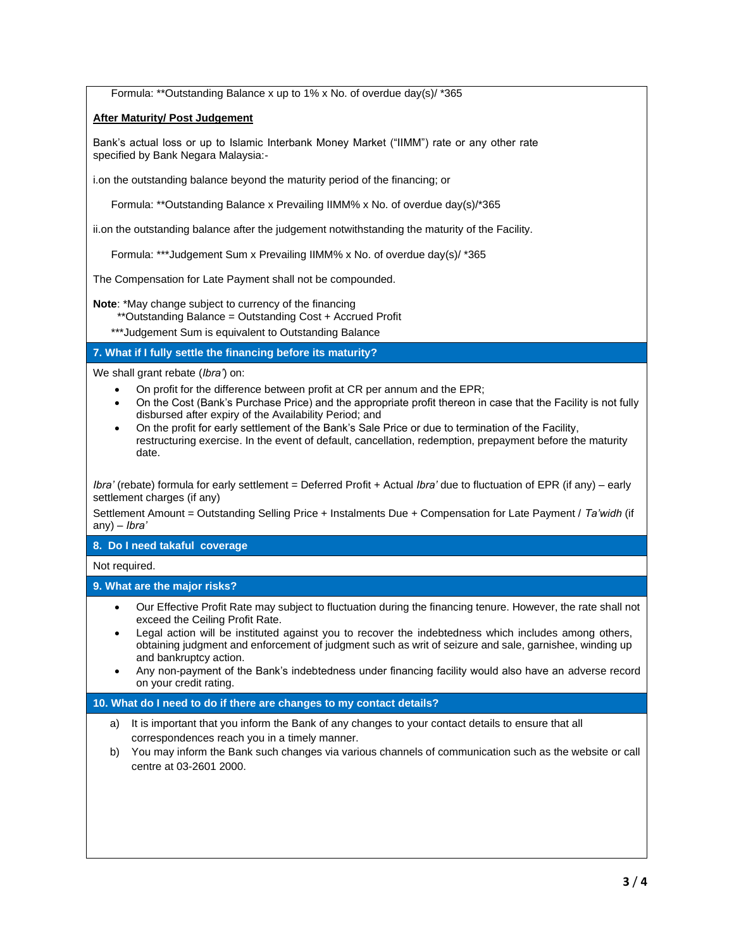Formula: \*\*Outstanding Balance x up to 1% x No. of overdue day(s)/ \*365

## **After Maturity/ Post Judgement**

Bank's actual loss or up to Islamic Interbank Money Market ("IIMM") rate or any other rate specified by Bank Negara Malaysia:-

i.on the outstanding balance beyond the maturity period of the financing; or

Formula: \*\*Outstanding Balance x Prevailing IIMM% x No. of overdue day(s)/\*365

ii.on the outstanding balance after the judgement notwithstanding the maturity of the Facility.

Formula: \*\*\*Judgement Sum x Prevailing IIMM% x No. of overdue day(s)/ \*365

The Compensation for Late Payment shall not be compounded.

**Note**: \*May change subject to currency of the financing

\*\*Outstanding Balance = Outstanding Cost + Accrued Profit

\*\*\*Judgement Sum is equivalent to Outstanding Balance

#### **7. What if I fully settle the financing before its maturity?**

We shall grant rebate (*Ibra'*) on:

- On profit for the difference between profit at CR per annum and the EPR;
- On the Cost (Bank's Purchase Price) and the appropriate profit thereon in case that the Facility is not fully disbursed after expiry of the Availability Period; and
- On the profit for early settlement of the Bank's Sale Price or due to termination of the Facility, restructuring exercise. In the event of default, cancellation, redemption, prepayment before the maturity date.

*Ibra'* (rebate) formula for early settlement = Deferred Profit + Actual *Ibra'* due to fluctuation of EPR (if any) – early settlement charges (if any)

Settlement Amount = Outstanding Selling Price + Instalments Due + Compensation for Late Payment / *Ta'widh* (if any) – *Ibra'* 

## **8. Do I need takaful coverage**

Not required.

## **9. What are the major risks?**

- Our Effective Profit Rate may subject to fluctuation during the financing tenure. However, the rate shall not exceed the Ceiling Profit Rate.
- Legal action will be instituted against you to recover the indebtedness which includes among others, obtaining judgment and enforcement of judgment such as writ of seizure and sale, garnishee, winding up and bankruptcy action.
- Any non-payment of the Bank's indebtedness under financing facility would also have an adverse record on your credit rating.

## **10. What do I need to do if there are changes to my contact details?**

- a) It is important that you inform the Bank of any changes to your contact details to ensure that all correspondences reach you in a timely manner.
- b) You may inform the Bank such changes via various channels of communication such as the website or call centre at 03-2601 2000.